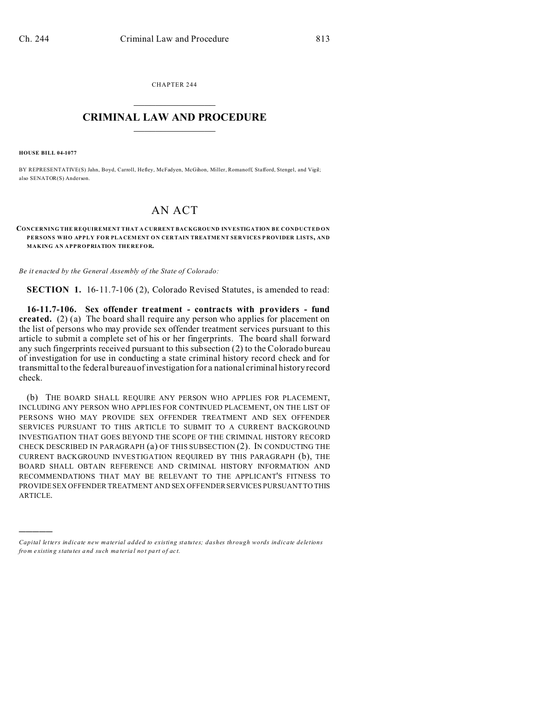CHAPTER 244  $\overline{\phantom{a}}$  , where  $\overline{\phantom{a}}$ 

## **CRIMINAL LAW AND PROCEDURE**  $\_$   $\_$   $\_$   $\_$   $\_$   $\_$   $\_$   $\_$   $\_$

**HOUSE BILL 04-1077**

)))))

BY REPRESENTATIVE(S) Jahn, Boyd, Carroll, Hefley, McFadyen, McGihon, Miller, Romanoff, Stafford, Stengel, and Vigil; also SENATOR(S) Anderson.

## AN ACT

**CONCERNING THE REQUIREMENT THAT A CURRENT BACKGROUND INVESTIGATION BE CONDUCTED ON PERSONS WHO APPLY FOR PLA CEMENT ON CER TAIN TREATME NT SER VICES P ROVIDER LISTS, AND MAKING AN APPROPRIATION THEREFOR.**

*Be it enacted by the General Assembly of the State of Colorado:*

**SECTION 1.** 16-11.7-106 (2), Colorado Revised Statutes, is amended to read:

**16-11.7-106. Sex offender treatment - contracts with providers - fund created.** (2) (a) The board shall require any person who applies for placement on the list of persons who may provide sex offender treatment services pursuant to this article to submit a complete set of his or her fingerprints. The board shall forward any such fingerprints received pursuant to this subsection (2) to the Colorado bureau of investigation for use in conducting a state criminal history record check and for transmittal to the federal bureau of investigation for a national criminal history record check.

(b) THE BOARD SHALL REQUIRE ANY PERSON WHO APPLIES FOR PLACEMENT, INCLUDING ANY PERSON WHO APPLIES FOR CONTINUED PLACEMENT, ON THE LIST OF PERSONS WHO MAY PROVIDE SEX OFFENDER TREATMENT AND SEX OFFENDER SERVICES PURSUANT TO THIS ARTICLE TO SUBMIT TO A CURRENT BACKGROUND INVESTIGATION THAT GOES BEYOND THE SCOPE OF THE CRIMINAL HISTORY RECORD CHECK DESCRIBED IN PARAGRAPH (a) OF THIS SUBSECTION (2). IN CONDUCTING THE CURRENT BACKGROUND INVESTIGATION REQUIRED BY THIS PARAGRAPH (b), THE BOARD SHALL OBTAIN REFERENCE AND CRIMINAL HISTORY INFORMATION AND RECOMMENDATIONS THAT MAY BE RELEVANT TO THE APPLICANT'S FITNESS TO PROVIDE SEX OFFENDER TREATMENT AND SEX OFFENDER SERVICES PURSUANT TO THIS ARTICLE.

*Capital letters indicate new material added to existing statutes; dashes through words indicate deletions from e xistin g statu tes a nd such ma teria l no t pa rt of ac t.*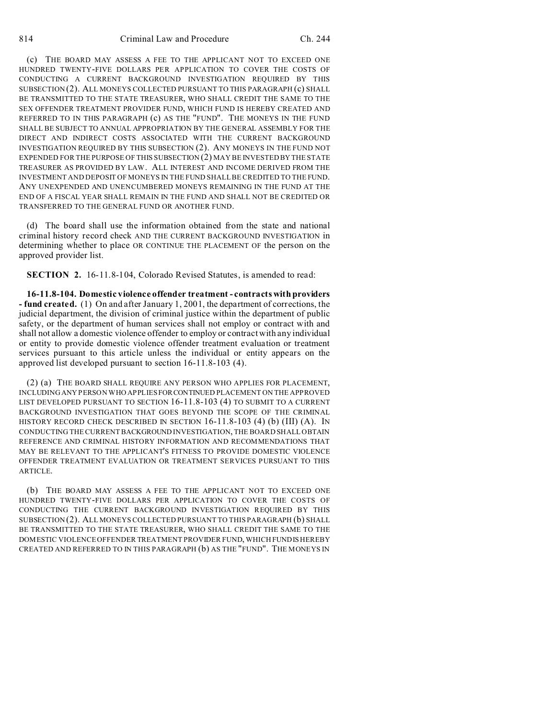(c) THE BOARD MAY ASSESS A FEE TO THE APPLICANT NOT TO EXCEED ONE HUNDRED TWENTY-FIVE DOLLARS PER APPLICATION TO COVER THE COSTS OF CONDUCTING A CURRENT BACKGROUND INVESTIGATION REQUIRED BY THIS SUBSECTION (2). ALL MONEYS COLLECTED PURSUANT TO THIS PARAGRAPH (c) SHALL BE TRANSMITTED TO THE STATE TREASURER, WHO SHALL CREDIT THE SAME TO THE SEX OFFENDER TREATMENT PROVIDER FUND, WHICH FUND IS HEREBY CREATED AND REFERRED TO IN THIS PARAGRAPH (c) AS THE "FUND". THE MONEYS IN THE FUND SHALL BE SUBJECT TO ANNUAL APPROPRIATION BY THE GENERAL ASSEMBLY FOR THE DIRECT AND INDIRECT COSTS ASSOCIATED WITH THE CURRENT BACKGROUND INVESTIGATION REQUIRED BY THIS SUBSECTION (2). ANY MONEYS IN THE FUND NOT EXPENDED FOR THE PURPOSE OF THIS SUBSECTION (2) MAY BE INVESTED BY THE STATE TREASURER AS PROVIDED BY LAW. ALL INTEREST AND INCOME DERIVED FROM THE INVESTMENT AND DEPOSIT OF MONEYS IN THE FUND SHALL BE CREDITED TO THE FUND. ANY UNEXPENDED AND UNENCUMBERED MONEYS REMAINING IN THE FUND AT THE END OF A FISCAL YEAR SHALL REMAIN IN THE FUND AND SHALL NOT BE CREDITED OR TRANSFERRED TO THE GENERAL FUND OR ANOTHER FUND.

(d) The board shall use the information obtained from the state and national criminal history record check AND THE CURRENT BACKGROUND INVESTIGATION in determining whether to place OR CONTINUE THE PLACEMENT OF the person on the approved provider list.

**SECTION 2.** 16-11.8-104, Colorado Revised Statutes, is amended to read:

**16-11.8-104. Domestic violence offender treatment - contracts with providers - fund created.** (1) On and after January 1, 2001, the department of corrections, the judicial department, the division of criminal justice within the department of public safety, or the department of human services shall not employ or contract with and shall not allow a domestic violence offender to employ or contract with any individual or entity to provide domestic violence offender treatment evaluation or treatment services pursuant to this article unless the individual or entity appears on the approved list developed pursuant to section 16-11.8-103 (4).

(2) (a) THE BOARD SHALL REQUIRE ANY PERSON WHO APPLIES FOR PLACEMENT, INCLUDING ANY PERSON WHO APPLIESFORCONTINUED PLACEMENT ON THE APPROVED LIST DEVELOPED PURSUANT TO SECTION 16-11.8-103 (4) TO SUBMIT TO A CURRENT BACKGROUND INVESTIGATION THAT GOES BEYOND THE SCOPE OF THE CRIMINAL HISTORY RECORD CHECK DESCRIBED IN SECTION 16-11.8-103 (4) (b) (III) (A). IN CONDUCTING THE CURRENT BACKGROUND INVESTIGATION, THE BOARD SHALL OBTAIN REFERENCE AND CRIMINAL HISTORY INFORMATION AND RECOMMENDATIONS THAT MAY BE RELEVANT TO THE APPLICANT'S FITNESS TO PROVIDE DOMESTIC VIOLENCE OFFENDER TREATMENT EVALUATION OR TREATMENT SERVICES PURSUANT TO THIS ARTICLE.

(b) THE BOARD MAY ASSESS A FEE TO THE APPLICANT NOT TO EXCEED ONE HUNDRED TWENTY-FIVE DOLLARS PER APPLICATION TO COVER THE COSTS OF CONDUCTING THE CURRENT BACKGROUND INVESTIGATION REQUIRED BY THIS SUBSECTION (2). ALL MONEYS COLLECTED PURSUANT TO THIS PARAGRAPH (b) SHALL BE TRANSMITTED TO THE STATE TREASURER, WHO SHALL CREDIT THE SAME TO THE DOMESTIC VIOLENCE OFFENDER TREATMENT PROVIDER FUND, WHICH FUNDIS HEREBY CREATED AND REFERRED TO IN THIS PARAGRAPH (b) AS THE "FUND". THE MONEYS IN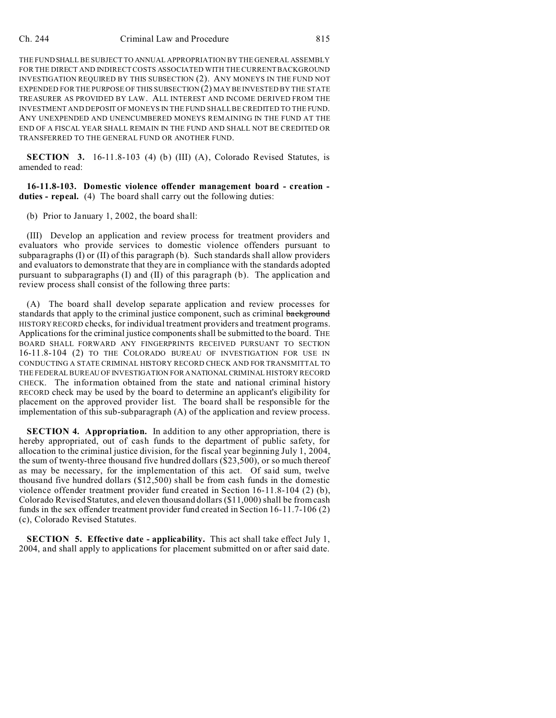THE FUND SHALL BE SUBJECT TO ANNUAL APPROPRIATION BY THE GENERAL ASSEMBLY FOR THE DIRECT AND INDIRECT COSTS ASSOCIATED WITH THE CURRENT BACKGROUND INVESTIGATION REQUIRED BY THIS SUBSECTION (2). ANY MONEYS IN THE FUND NOT EXPENDED FOR THE PURPOSE OF THIS SUBSECTION (2) MAY BE INVESTED BY THE STATE TREASURER AS PROVIDED BY LAW. ALL INTEREST AND INCOME DERIVED FROM THE INVESTMENT AND DEPOSIT OF MONEYS IN THE FUND SHALL BE CREDITED TO THE FUND. ANY UNEXPENDED AND UNENCUMBERED MONEYS REMAINING IN THE FUND AT THE END OF A FISCAL YEAR SHALL REMAIN IN THE FUND AND SHALL NOT BE CREDITED OR TRANSFERRED TO THE GENERAL FUND OR ANOTHER FUND.

**SECTION** 3. 16-11.8-103 (4) (b) (III) (A), Colorado Revised Statutes, is amended to read:

**16-11.8-103. Domestic violence offender management board - creation duties - repeal.** (4) The board shall carry out the following duties:

(b) Prior to January 1, 2002, the board shall:

(III) Develop an application and review process for treatment providers and evaluators who provide services to domestic violence offenders pursuant to subparagraphs (I) or (II) of this paragraph (b). Such standards shall allow providers and evaluators to demonstrate that they are in compliance with the standards adopted pursuant to subparagraphs (I) and (II) of this paragraph (b). The application and review process shall consist of the following three parts:

(A) The board shall develop separate application and review processes for standards that apply to the criminal justice component, such as criminal background HISTORY RECORD checks, for individual treatment providers and treatment programs. Applications for the criminal justice components shall be submitted to the board. THE BOARD SHALL FORWARD ANY FINGERPRINTS RECEIVED PURSUANT TO SECTION 16-11.8-104 (2) TO THE COLORADO BUREAU OF INVESTIGATION FOR USE IN CONDUCTING A STATE CRIMINAL HISTORY RECORD CHECK AND FOR TRANSMITTAL TO THE FEDERAL BUREAU OF INVESTIGATION FOR ANATIONAL CRIMINAL HISTORY RECORD CHECK. The information obtained from the state and national criminal history RECORD check may be used by the board to determine an applicant's eligibility for placement on the approved provider list. The board shall be responsible for the implementation of this sub-subparagraph (A) of the application and review process.

**SECTION 4. Appropriation.** In addition to any other appropriation, there is hereby appropriated, out of cash funds to the department of public safety, for allocation to the criminal justice division, for the fiscal year beginning July 1, 2004, the sum of twenty-three thousand five hundred dollars (\$23,500), or so much thereof as may be necessary, for the implementation of this act. Of said sum, twelve thousand five hundred dollars (\$12,500) shall be from cash funds in the domestic violence offender treatment provider fund created in Section 16-11.8-104 (2) (b), Colorado Revised Statutes, and eleven thousand dollars (\$11,000) shall be from cash funds in the sex offender treatment provider fund created in Section 16-11.7-106 (2) (c), Colorado Revised Statutes.

**SECTION 5. Effective date - applicability.** This act shall take effect July 1, 2004, and shall apply to applications for placement submitted on or after said date.